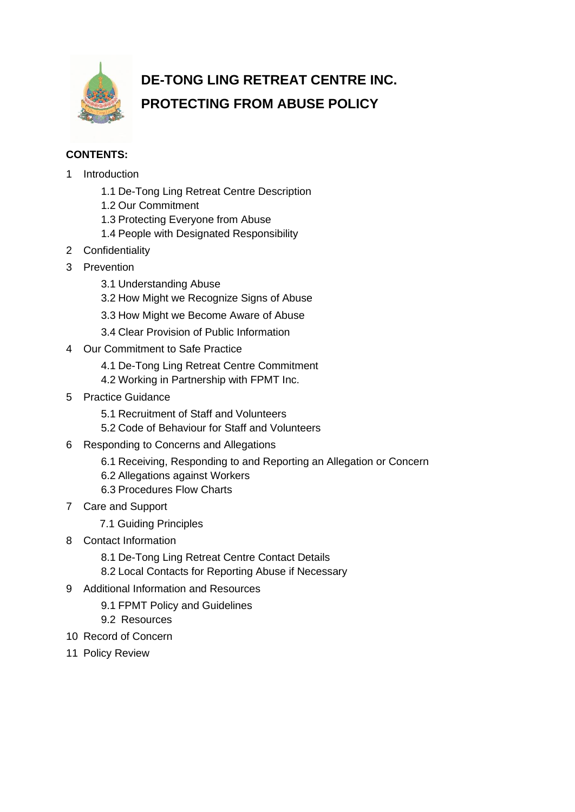

# **DE-TONG LING RETREAT CENTRE INC. PROTECTING FROM ABUSE POLICY**

## **CONTENTS:**

- 1 Introduction
	- 1.1 De-Tong Ling Retreat Centre Description
	- 1.2 Our Commitment
	- 1.3 Protecting Everyone from Abuse
	- 1.4 People with Designated Responsibility
- 2 Confidentiality
- 3 Prevention
	- 3.1 Understanding Abuse
	- 3.2 How Might we Recognize Signs of Abuse
	- 3.3 How Might we Become Aware of Abuse
	- 3.4 Clear Provision of Public Information
- 4 Our Commitment to Safe Practice
	- 4.1 De-Tong Ling Retreat Centre Commitment
	- 4.2 Working in Partnership with FPMT Inc.
- 5 Practice Guidance
	- 5.1 Recruitment of Staff and Volunteers
	- 5.2 Code of Behaviour for Staff and Volunteers
- 6 Responding to Concerns and Allegations
	- 6.1 Receiving, Responding to and Reporting an Allegation or Concern
	- 6.2 Allegations against Workers
	- 6.3 Procedures Flow Charts
- 7 Care and Support
	- 7.1 Guiding Principles
- 8 Contact Information
	- 8.1 De-Tong Ling Retreat Centre Contact Details
	- 8.2 Local Contacts for Reporting Abuse if Necessary
- 9 Additional Information and Resources
	- 9.1 FPMT Policy and Guidelines
	- 9.2 Resources
- 10 Record of Concern
- 11 Policy Review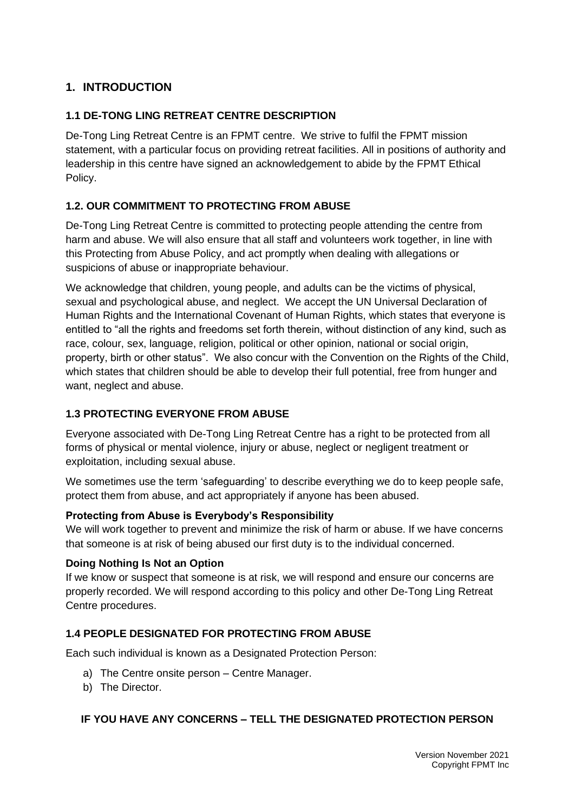# **1. INTRODUCTION**

## **1.1 DE-TONG LING RETREAT CENTRE DESCRIPTION**

De-Tong Ling Retreat Centre is an FPMT centre. We strive to fulfil the FPMT mission statement, with a particular focus on providing retreat facilities. All in positions of authority and leadership in this centre have signed an acknowledgement to abide by the FPMT Ethical Policy.

## **1.2. OUR COMMITMENT TO PROTECTING FROM ABUSE**

De-Tong Ling Retreat Centre is committed to protecting people attending the centre from harm and abuse. We will also ensure that all staff and volunteers work together, in line with this Protecting from Abuse Policy, and act promptly when dealing with allegations or suspicions of abuse or inappropriate behaviour.

We acknowledge that children, young people, and adults can be the victims of physical, sexual and psychological abuse, and neglect. We accept the UN Universal Declaration of Human Rights and the International Covenant of Human Rights, which states that everyone is entitled to "all the rights and freedoms set forth therein, without distinction of any kind, such as race, colour, sex, language, religion, political or other opinion, national or social origin, property, birth or other status". We also concur with the Convention on the Rights of the Child, which states that children should be able to develop their full potential, free from hunger and want, neglect and abuse.

#### **1.3 PROTECTING EVERYONE FROM ABUSE**

Everyone associated with De-Tong Ling Retreat Centre has a right to be protected from all forms of physical or mental violence, injury or abuse, neglect or negligent treatment or exploitation, including sexual abuse.

We sometimes use the term 'safeguarding' to describe everything we do to keep people safe, protect them from abuse, and act appropriately if anyone has been abused.

#### **Protecting from Abuse is Everybody's Responsibility**

We will work together to prevent and minimize the risk of harm or abuse. If we have concerns that someone is at risk of being abused our first duty is to the individual concerned.

#### **Doing Nothing Is Not an Option**

If we know or suspect that someone is at risk, we will respond and ensure our concerns are properly recorded. We will respond according to this policy and other De-Tong Ling Retreat Centre procedures.

#### **1.4 PEOPLE DESIGNATED FOR PROTECTING FROM ABUSE**

Each such individual is known as a Designated Protection Person:

- a) The Centre onsite person Centre Manager.
- b) The Director.

#### **IF YOU HAVE ANY CONCERNS – TELL THE DESIGNATED PROTECTION PERSON**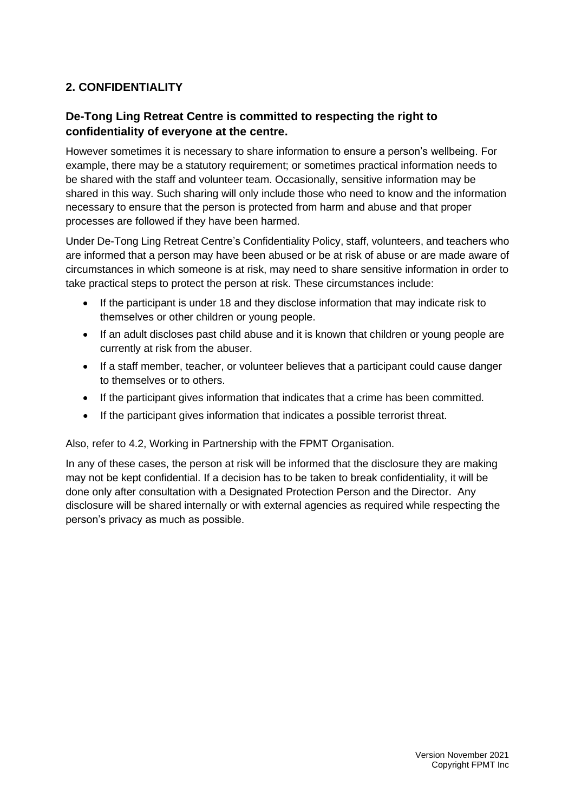# **2. CONFIDENTIALITY**

# **De-Tong Ling Retreat Centre is committed to respecting the right to confidentiality of everyone at the centre.**

However sometimes it is necessary to share information to ensure a person's wellbeing. For example, there may be a statutory requirement; or sometimes practical information needs to be shared with the staff and volunteer team. Occasionally, sensitive information may be shared in this way. Such sharing will only include those who need to know and the information necessary to ensure that the person is protected from harm and abuse and that proper processes are followed if they have been harmed.

Under De-Tong Ling Retreat Centre's Confidentiality Policy, staff, volunteers, and teachers who are informed that a person may have been abused or be at risk of abuse or are made aware of circumstances in which someone is at risk, may need to share sensitive information in order to take practical steps to protect the person at risk. These circumstances include:

- If the participant is under 18 and they disclose information that may indicate risk to themselves or other children or young people.
- If an adult discloses past child abuse and it is known that children or young people are currently at risk from the abuser.
- If a staff member, teacher, or volunteer believes that a participant could cause danger to themselves or to others.
- If the participant gives information that indicates that a crime has been committed.
- If the participant gives information that indicates a possible terrorist threat.

#### Also, refer to 4.2, Working in Partnership with the FPMT Organisation.

In any of these cases, the person at risk will be informed that the disclosure they are making may not be kept confidential. If a decision has to be taken to break confidentiality, it will be done only after consultation with a Designated Protection Person and the Director. Any disclosure will be shared internally or with external agencies as required while respecting the person's privacy as much as possible.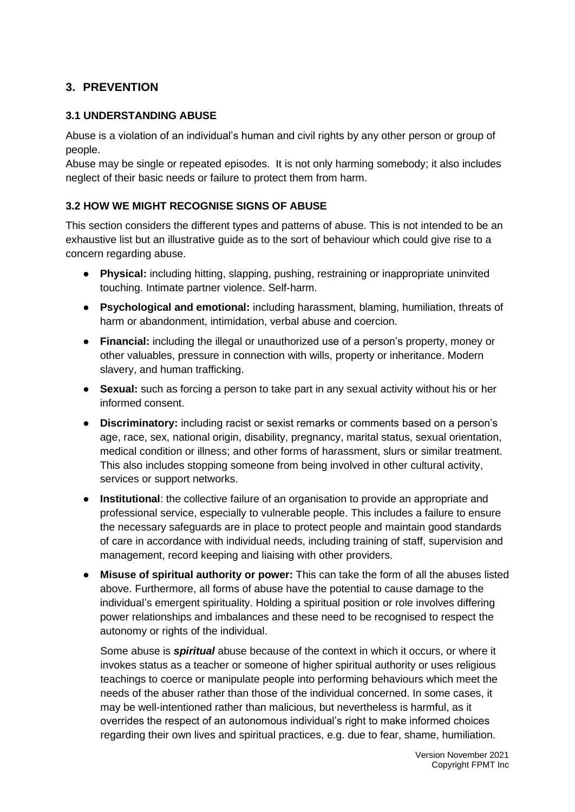# **3. PREVENTION**

#### **3.1 UNDERSTANDING ABUSE**

Abuse is a violation of an individual's human and civil rights by any other person or group of people.

Abuse may be single or repeated episodes. It is not only harming somebody; it also includes neglect of their basic needs or failure to protect them from harm.

#### **3.2 HOW WE MIGHT RECOGNISE SIGNS OF ABUSE**

This section considers the different types and patterns of abuse. This is not intended to be an exhaustive list but an illustrative guide as to the sort of behaviour which could give rise to a concern regarding abuse.

- **Physical:** including hitting, slapping, pushing, restraining or inappropriate uninvited touching. Intimate partner violence. Self-harm.
- **Psychological and emotional:** including harassment, blaming, humiliation, threats of harm or abandonment, intimidation, verbal abuse and coercion.
- **Financial:** including the illegal or unauthorized use of a person's property, money or other valuables, pressure in connection with wills, property or inheritance. Modern slavery, and human trafficking.
- **Sexual:** such as forcing a person to take part in any sexual activity without his or her informed consent.
- **Discriminatory:** including racist or sexist remarks or comments based on a person's age, race, sex, national origin, disability, pregnancy, marital status, sexual orientation, medical condition or illness; and other forms of harassment, slurs or similar treatment. This also includes stopping someone from being involved in other cultural activity, services or support networks.
- **Institutional**: the collective failure of an organisation to provide an appropriate and professional service, especially to vulnerable people. This includes a failure to ensure the necessary safeguards are in place to protect people and maintain good standards of care in accordance with individual needs, including training of staff, supervision and management, record keeping and liaising with other providers.
- **Misuse of spiritual authority or power:** This can take the form of all the abuses listed above. Furthermore, all forms of abuse have the potential to cause damage to the individual's emergent spirituality. Holding a spiritual position or role involves differing power relationships and imbalances and these need to be recognised to respect the autonomy or rights of the individual.

Some abuse is *spiritual* abuse because of the context in which it occurs, or where it invokes status as a teacher or someone of higher spiritual authority or uses religious teachings to coerce or manipulate people into performing behaviours which meet the needs of the abuser rather than those of the individual concerned. In some cases, it may be well-intentioned rather than malicious, but nevertheless is harmful, as it overrides the respect of an autonomous individual's right to make informed choices regarding their own lives and spiritual practices, e.g. due to fear, shame, humiliation.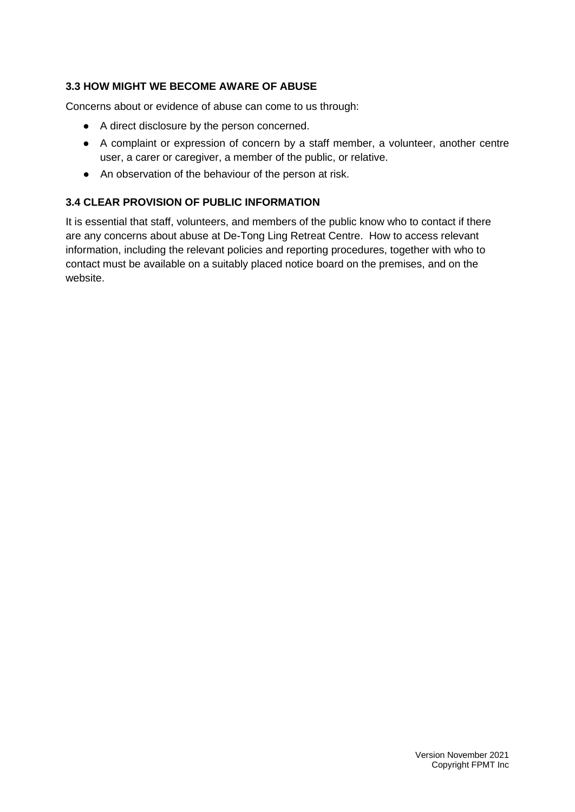## **3.3 HOW MIGHT WE BECOME AWARE OF ABUSE**

Concerns about or evidence of abuse can come to us through:

- A direct disclosure by the person concerned.
- A complaint or expression of concern by a staff member, a volunteer, another centre user, a carer or caregiver, a member of the public, or relative.
- An observation of the behaviour of the person at risk.

## **3.4 CLEAR PROVISION OF PUBLIC INFORMATION**

It is essential that staff, volunteers, and members of the public know who to contact if there are any concerns about abuse at De-Tong Ling Retreat Centre. How to access relevant information, including the relevant policies and reporting procedures, together with who to contact must be available on a suitably placed notice board on the premises, and on the website.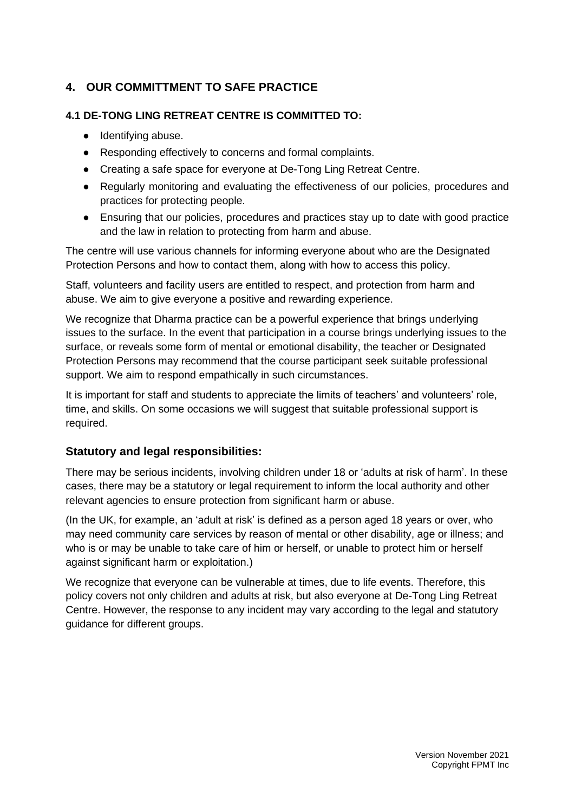# **4. OUR COMMITTMENT TO SAFE PRACTICE**

## **4.1 DE-TONG LING RETREAT CENTRE IS COMMITTED TO:**

- Identifying abuse.
- Responding effectively to concerns and formal complaints.
- Creating a safe space for everyone at De-Tong Ling Retreat Centre.
- Regularly monitoring and evaluating the effectiveness of our policies, procedures and practices for protecting people.
- Ensuring that our policies, procedures and practices stay up to date with good practice and the law in relation to protecting from harm and abuse.

The centre will use various channels for informing everyone about who are the Designated Protection Persons and how to contact them, along with how to access this policy.

Staff, volunteers and facility users are entitled to respect, and protection from harm and abuse. We aim to give everyone a positive and rewarding experience.

We recognize that Dharma practice can be a powerful experience that brings underlying issues to the surface. In the event that participation in a course brings underlying issues to the surface, or reveals some form of mental or emotional disability, the teacher or Designated Protection Persons may recommend that the course participant seek suitable professional support. We aim to respond empathically in such circumstances.

It is important for staff and students to appreciate the limits of teachers' and volunteers' role, time, and skills. On some occasions we will suggest that suitable professional support is required.

## **Statutory and legal responsibilities:**

There may be serious incidents, involving children under 18 or 'adults at risk of harm'. In these cases, there may be a statutory or legal requirement to inform the local authority and other relevant agencies to ensure protection from significant harm or abuse.

(In the UK, for example, an 'adult at risk' is defined as a person aged 18 years or over, who may need community care services by reason of mental or other disability, age or illness; and who is or may be unable to take care of him or herself, or unable to protect him or herself against significant harm or exploitation.)

We recognize that everyone can be vulnerable at times, due to life events. Therefore, this policy covers not only children and adults at risk, but also everyone at De-Tong Ling Retreat Centre. However, the response to any incident may vary according to the legal and statutory guidance for different groups.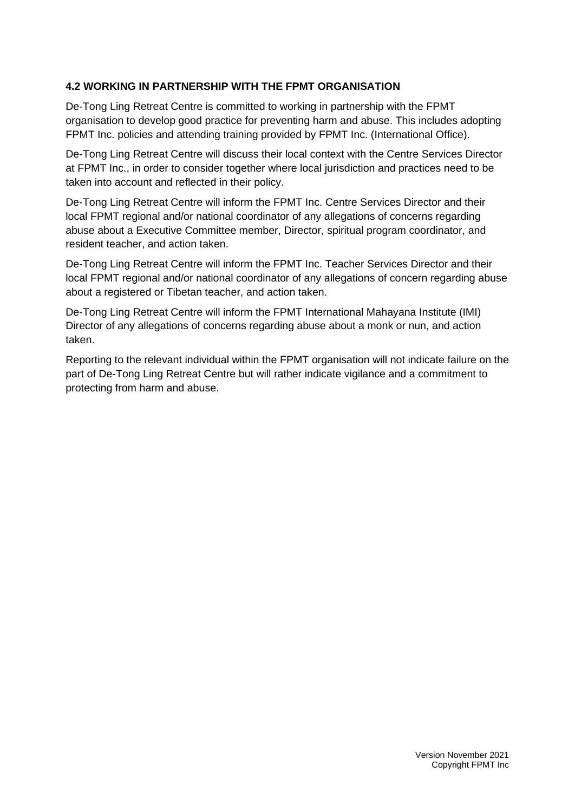## **4.2 WORKING IN PARTNERSHIP WITH THE FPMT ORGANISATION**

De-Tong Ling Retreat Centre is committed to working in partnership with the FPMT organisation to develop good practice for preventing harm and abuse. This includes adopting FPMT Inc. policies and attending training provided by FPMT Inc. (International Office).

De-Tong Ling Retreat Centre will discuss their local context with the Centre Services Director at FPMT Inc., in order to consider together where local jurisdiction and practices need to be taken into account and reflected in their policy.

De-Tong Ling Retreat Centre will inform the FPMT Inc. Centre Services Director and their local FPMT regional and/or national coordinator of any allegations of concerns regarding abuse about a Executive Committee member, Director, spiritual program coordinator, and resident teacher, and action taken.

De-Tong Ling Retreat Centre will inform the FPMT Inc. Teacher Services Director and their local FPMT regional and/or national coordinator of any allegations of concern regarding abuse about a registered or Tibetan teacher, and action taken.

De-Tong Ling Retreat Centre will inform the FPMT International Mahayana Institute (IMI) Director of any allegations of concerns regarding abuse about a monk or nun, and action taken.

Reporting to the relevant individual within the FPMT organisation will not indicate failure on the part of De-Tong Ling Retreat Centre but will rather indicate vigilance and a commitment to protecting from harm and abuse.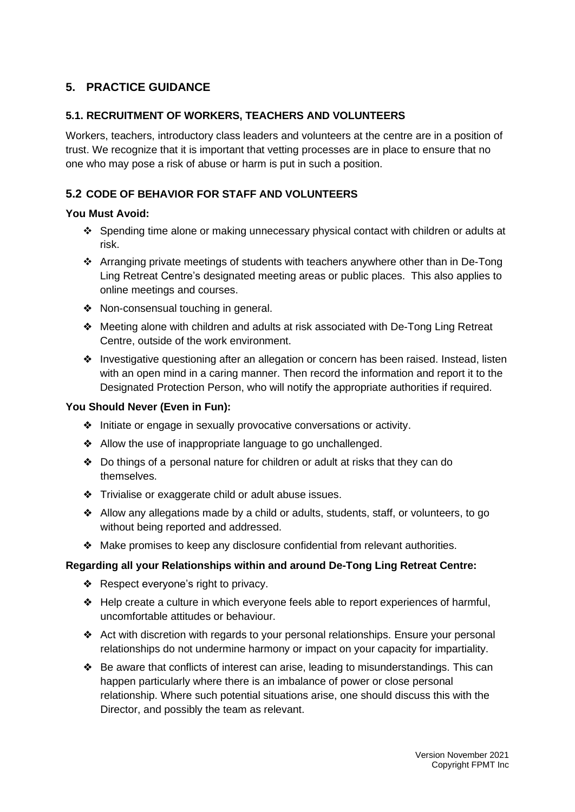# **5. PRACTICE GUIDANCE**

## **5.1. RECRUITMENT OF WORKERS, TEACHERS AND VOLUNTEERS**

Workers, teachers, introductory class leaders and volunteers at the centre are in a position of trust. We recognize that it is important that vetting processes are in place to ensure that no one who may pose a risk of abuse or harm is put in such a position.

## **5.2 CODE OF BEHAVIOR FOR STAFF AND VOLUNTEERS**

#### **You Must Avoid:**

- ❖ Spending time alone or making unnecessary physical contact with children or adults at risk.
- ❖ Arranging private meetings of students with teachers anywhere other than in De-Tong Ling Retreat Centre's designated meeting areas or public places. This also applies to online meetings and courses.
- ❖ Non-consensual touching in general.
- ❖ Meeting alone with children and adults at risk associated with De-Tong Ling Retreat Centre, outside of the work environment.
- ❖ Investigative questioning after an allegation or concern has been raised. Instead, listen with an open mind in a caring manner. Then record the information and report it to the Designated Protection Person, who will notify the appropriate authorities if required.

#### **You Should Never (Even in Fun):**

- ❖ Initiate or engage in sexually provocative conversations or activity.
- ❖ Allow the use of inappropriate language to go unchallenged.
- ❖ Do things of a personal nature for children or adult at risks that they can do themselves.
- ❖ Trivialise or exaggerate child or adult abuse issues.
- ❖ Allow any allegations made by a child or adults, students, staff, or volunteers, to go without being reported and addressed.
- ❖ Make promises to keep any disclosure confidential from relevant authorities.

#### **Regarding all your Relationships within and around De-Tong Ling Retreat Centre:**

- ❖ Respect everyone's right to privacy.
- ❖ Help create a culture in which everyone feels able to report experiences of harmful, uncomfortable attitudes or behaviour.
- ❖ Act with discretion with regards to your personal relationships. Ensure your personal relationships do not undermine harmony or impact on your capacity for impartiality.
- ❖ Be aware that conflicts of interest can arise, leading to misunderstandings. This can happen particularly where there is an imbalance of power or close personal relationship. Where such potential situations arise, one should discuss this with the Director, and possibly the team as relevant.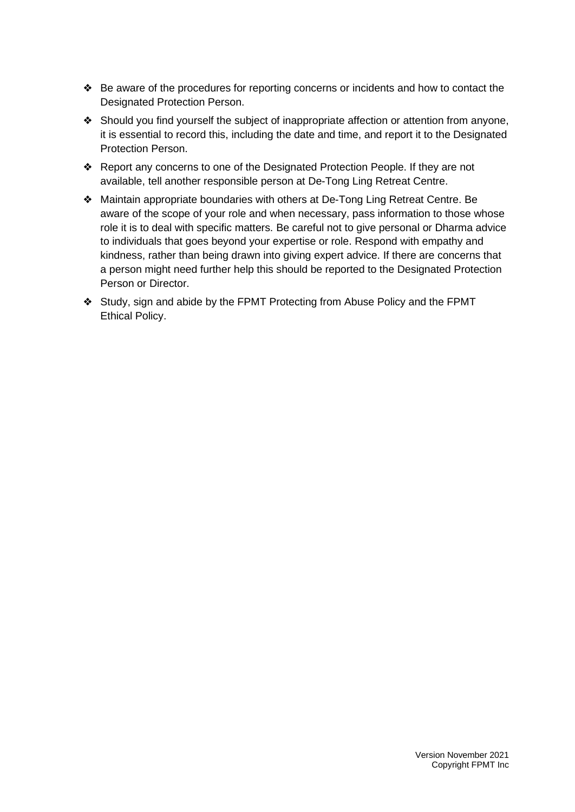- ❖ Be aware of the procedures for reporting concerns or incidents and how to contact the Designated Protection Person.
- ❖ Should you find yourself the subject of inappropriate affection or attention from anyone, it is essential to record this, including the date and time, and report it to the Designated Protection Person.
- ❖ Report any concerns to one of the Designated Protection People. If they are not available, tell another responsible person at De-Tong Ling Retreat Centre.
- ❖ Maintain appropriate boundaries with others at De-Tong Ling Retreat Centre. Be aware of the scope of your role and when necessary, pass information to those whose role it is to deal with specific matters. Be careful not to give personal or Dharma advice to individuals that goes beyond your expertise or role. Respond with empathy and kindness, rather than being drawn into giving expert advice. If there are concerns that a person might need further help this should be reported to the Designated Protection Person or Director.
- ❖ Study, sign and abide by the FPMT Protecting from Abuse Policy and the FPMT Ethical Policy.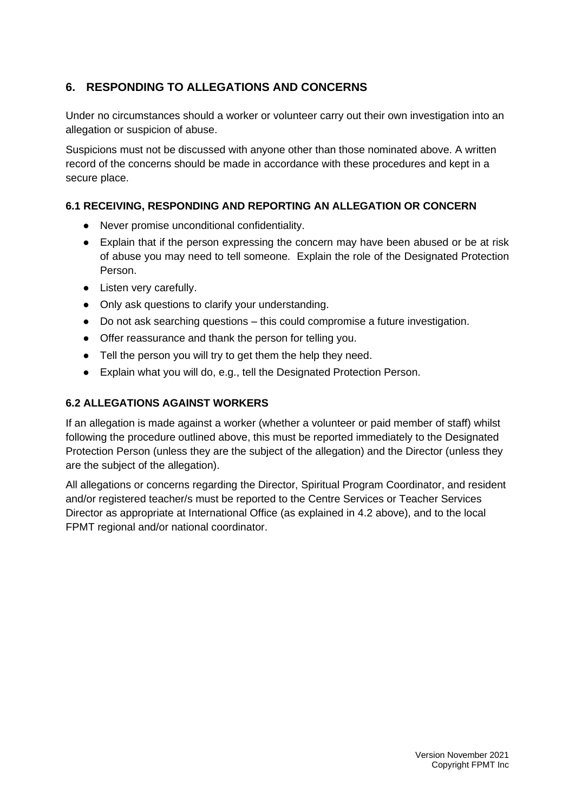# **6. RESPONDING TO ALLEGATIONS AND CONCERNS**

Under no circumstances should a worker or volunteer carry out their own investigation into an allegation or suspicion of abuse.

Suspicions must not be discussed with anyone other than those nominated above. A written record of the concerns should be made in accordance with these procedures and kept in a secure place.

## **6.1 RECEIVING, RESPONDING AND REPORTING AN ALLEGATION OR CONCERN**

- Never promise unconditional confidentiality.
- Explain that if the person expressing the concern may have been abused or be at risk of abuse you may need to tell someone. Explain the role of the Designated Protection Person.
- Listen very carefully.
- Only ask questions to clarify your understanding.
- Do not ask searching questions this could compromise a future investigation.
- Offer reassurance and thank the person for telling you.
- Tell the person you will try to get them the help they need.
- Explain what you will do, e.g., tell the Designated Protection Person.

## **6.2 ALLEGATIONS AGAINST WORKERS**

If an allegation is made against a worker (whether a volunteer or paid member of staff) whilst following the procedure outlined above, this must be reported immediately to the Designated Protection Person (unless they are the subject of the allegation) and the Director (unless they are the subject of the allegation).

All allegations or concerns regarding the Director, Spiritual Program Coordinator, and resident and/or registered teacher/s must be reported to the Centre Services or Teacher Services Director as appropriate at International Office (as explained in 4.2 above), and to the local FPMT regional and/or national coordinator.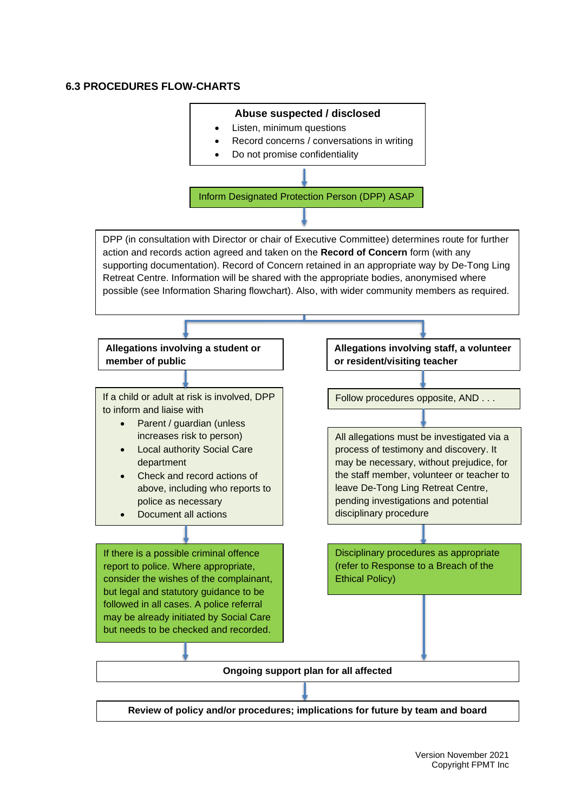#### **6.3 PROCEDURES FLOW-CHARTS**

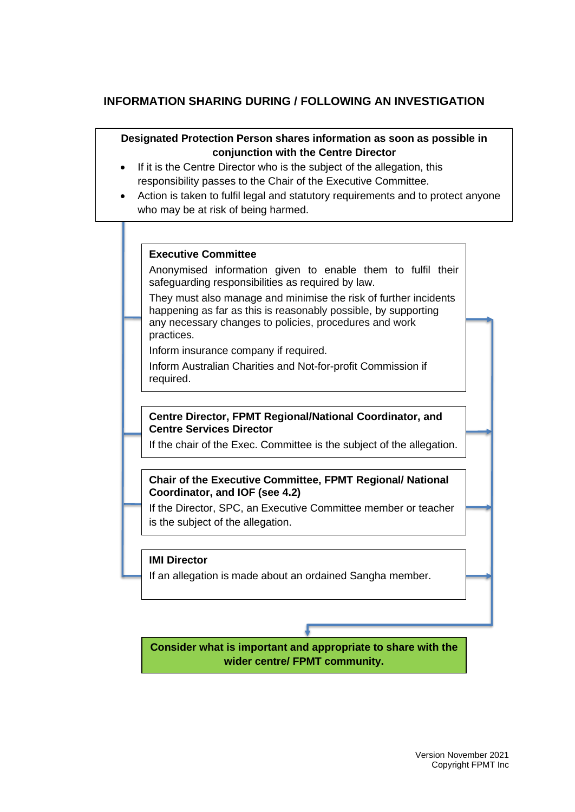## **INFORMATION SHARING DURING / FOLLOWING AN INVESTIGATION**

#### **Designated Protection Person shares information as soon as possible in conjunction with the Centre Director**

- If it is the Centre Director who is the subject of the allegation, this responsibility passes to the Chair of the Executive Committee.
- Action is taken to fulfil legal and statutory requirements and to protect anyone who may be at risk of being harmed.

#### **Executive Committee**

Anonymised information given to enable them to fulfil their safeguarding responsibilities as required by law.

They must also manage and minimise the risk of further incidents happening as far as this is reasonably possible, by supporting any necessary changes to policies, procedures and work practices.

Inform insurance company if required.

Inform Australian Charities and Not-for-profit Commission if required.

#### **Centre Director, FPMT Regional/National Coordinator, and Centre Services Director**

If the chair of the Exec. Committee is the subject of the allegation.

#### **Chair of the Executive Committee, FPMT Regional/ National Coordinator, and IOF (see 4.2)**

If the Director, SPC, an Executive Committee member or teacher is the subject of the allegation.

#### **IMI Director**

If an allegation is made about an ordained Sangha member.

**Consider what is important and appropriate to share with the wider centre/ FPMT community.**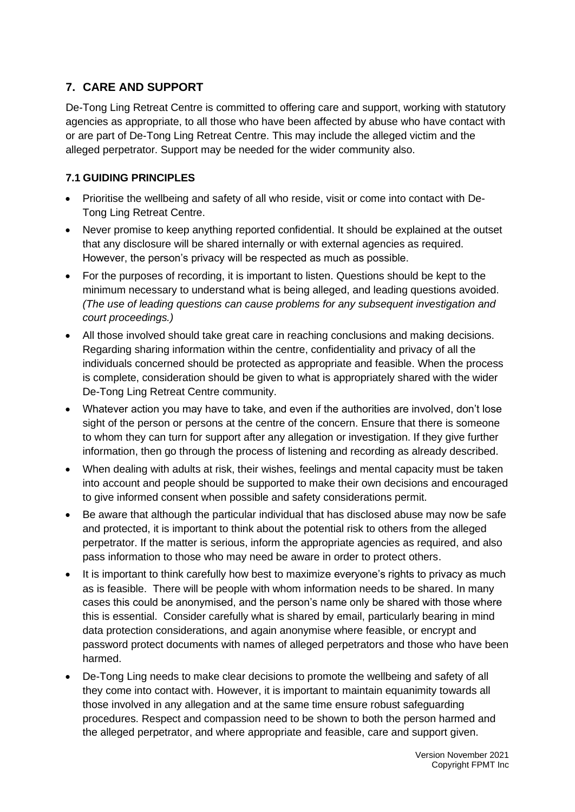# **7. CARE AND SUPPORT**

De-Tong Ling Retreat Centre is committed to offering care and support, working with statutory agencies as appropriate, to all those who have been affected by abuse who have contact with or are part of De-Tong Ling Retreat Centre. This may include the alleged victim and the alleged perpetrator. Support may be needed for the wider community also.

## **7.1 GUIDING PRINCIPLES**

- Prioritise the wellbeing and safety of all who reside, visit or come into contact with De-Tong Ling Retreat Centre.
- Never promise to keep anything reported confidential. It should be explained at the outset that any disclosure will be shared internally or with external agencies as required. However, the person's privacy will be respected as much as possible.
- For the purposes of recording, it is important to listen. Questions should be kept to the minimum necessary to understand what is being alleged, and leading questions avoided. *(The use of leading questions can cause problems for any subsequent investigation and court proceedings.)*
- All those involved should take great care in reaching conclusions and making decisions. Regarding sharing information within the centre, confidentiality and privacy of all the individuals concerned should be protected as appropriate and feasible. When the process is complete, consideration should be given to what is appropriately shared with the wider De-Tong Ling Retreat Centre community.
- Whatever action you may have to take, and even if the authorities are involved, don't lose sight of the person or persons at the centre of the concern. Ensure that there is someone to whom they can turn for support after any allegation or investigation. If they give further information, then go through the process of listening and recording as already described.
- When dealing with adults at risk, their wishes, feelings and mental capacity must be taken into account and people should be supported to make their own decisions and encouraged to give informed consent when possible and safety considerations permit.
- Be aware that although the particular individual that has disclosed abuse may now be safe and protected, it is important to think about the potential risk to others from the alleged perpetrator. If the matter is serious, inform the appropriate agencies as required, and also pass information to those who may need be aware in order to protect others.
- It is important to think carefully how best to maximize everyone's rights to privacy as much as is feasible. There will be people with whom information needs to be shared. In many cases this could be anonymised, and the person's name only be shared with those where this is essential. Consider carefully what is shared by email, particularly bearing in mind data protection considerations, and again anonymise where feasible, or encrypt and password protect documents with names of alleged perpetrators and those who have been harmed.
- De-Tong Ling needs to make clear decisions to promote the wellbeing and safety of all they come into contact with. However, it is important to maintain equanimity towards all those involved in any allegation and at the same time ensure robust safeguarding procedures. Respect and compassion need to be shown to both the person harmed and the alleged perpetrator, and where appropriate and feasible, care and support given.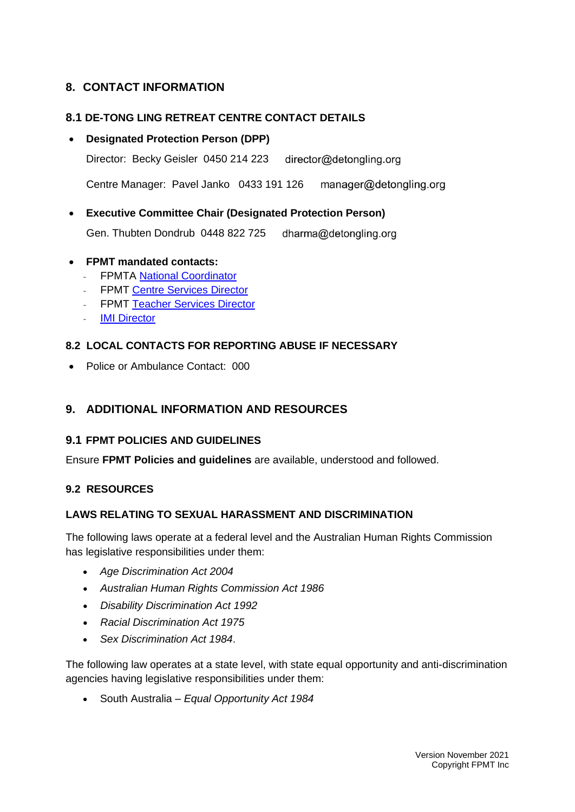## **8. CONTACT INFORMATION**

## **8.1 DE-TONG LING RETREAT CENTRE CONTACT DETAILS**

## • **Designated Protection Person (DPP)**

Director: Becky Geisler 0450 214 223 director@detongling.org

Centre Manager: Pavel Janko 0433 191 126 manager@detongling.org

• **Executive Committee Chair (Designated Protection Person)**

Gen. Thubten Dondrub 0448 822 725 dharma@detongling.org

## • **FPMT mandated contacts:**

- **FPMTA [National Coordinator](http://office@fpmta.org.au)**
- FPMT Centre [Services Director](mailto:centerservices@fpmt.org)
- FPMT [Teacher Services Director](http://francois@fpmt.org)
- **[IMI Director](mailto:director@imisangha.org)**

## **8.2 LOCAL CONTACTS FOR REPORTING ABUSE IF NECESSARY**

• Police or Ambulance Contact: 000

# **9. ADDITIONAL INFORMATION AND RESOURCES**

## **9.1 FPMT POLICIES AND GUIDELINES**

Ensure **FPMT Policies and guidelines** are available, understood and followed.

#### **9.2 RESOURCES**

#### **LAWS RELATING TO SEXUAL HARASSMENT AND DISCRIMINATION**

The following laws operate at a federal level and the Australian Human Rights Commission has legislative responsibilities under them:

- *Age Discrimination Act 2004*
- *Australian Human Rights Commission Act 1986*
- *Disability Discrimination Act 1992*
- *Racial Discrimination Act 1975*
- *Sex Discrimination Act 1984*.

The following law operates at a state level, with state equal opportunity and anti-discrimination agencies having legislative responsibilities under them:

• South Australia – *Equal Opportunity Act 1984*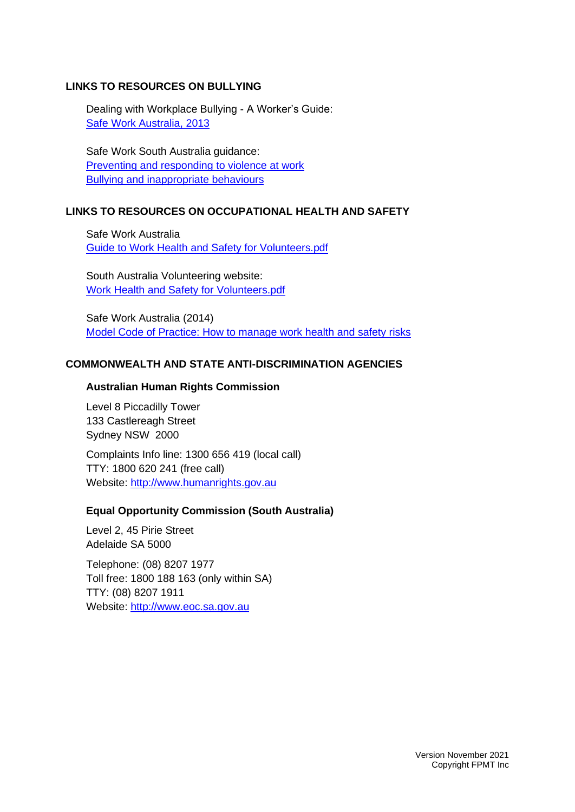#### **LINKS TO RESOURCES ON BULLYING**

Dealing with Workplace Bullying - A Worker's Guide: [Safe Work Australia, 2013](https://www.safeworkaustralia.gov.au/doc/dealing-workplace-bullying-workers-guide)

Safe Work South Australia guidance: [Preventing and responding to violence at work](https://www.safework.sa.gov.au/workers/health-and-wellbeing/violence) [Bullying and inappropriate behaviours](https://www.safework.sa.gov.au/workers/health-and-wellbeing/bullying-and-inappropriate-behaviours)

#### **LINKS TO RESOURCES ON OCCUPATIONAL HEALTH AND SAFETY**

Safe Work Australia [Guide to Work Health and Safety for Volunteers.pdf](https://www.safeworkaustralia.gov.au/system/files/documents/1703/volunteers_guide.pdf)

South Australia Volunteering website: [Work Health and Safety for Volunteers.pdf](http://www.volunteeringsa-nt.org.au/assets/pdfs/work-health-and-safety.pdf)

Safe Work Australia (2014) [Model Code of Practice: How to manage work health and safety risks](https://www.safeworkaustralia.gov.au/doc/model-code-practice-how-manage-work-health-and-safety-risks)

#### **COMMONWEALTH AND STATE ANTI-DISCRIMINATION AGENCIES**

#### **Australian Human Rights Commission**

Level 8 Piccadilly Tower 133 Castlereagh Street Sydney NSW 2000

Complaints Info line: 1300 656 419 (local call) TTY: 1800 620 241 (free call) Website: [http://www.humanrights.gov.au](http://www.humanrights.gov.au/)

#### **Equal Opportunity Commission (South Australia)**

Level 2, 45 Pirie Street Adelaide SA 5000

Telephone: (08) 8207 1977 Toll free: 1800 188 163 (only within SA) TTY: (08) 8207 1911 Website: [http://www.eoc.sa.gov.au](http://www.eoc.sa.gov.au/)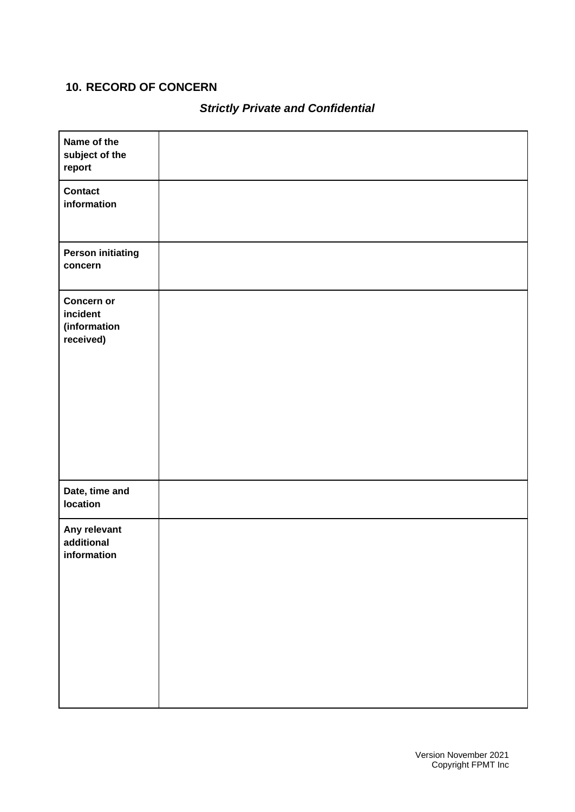# **10. RECORD OF CONCERN**

# *Strictly Private and Confidential*

| Name of the<br>subject of the<br>report             |  |
|-----------------------------------------------------|--|
| <b>Contact</b><br>information                       |  |
| <b>Person initiating</b><br>concern                 |  |
| Concern or<br>incident<br>(information<br>received) |  |
| Date, time and<br>location                          |  |
| Any relevant<br>additional<br>information           |  |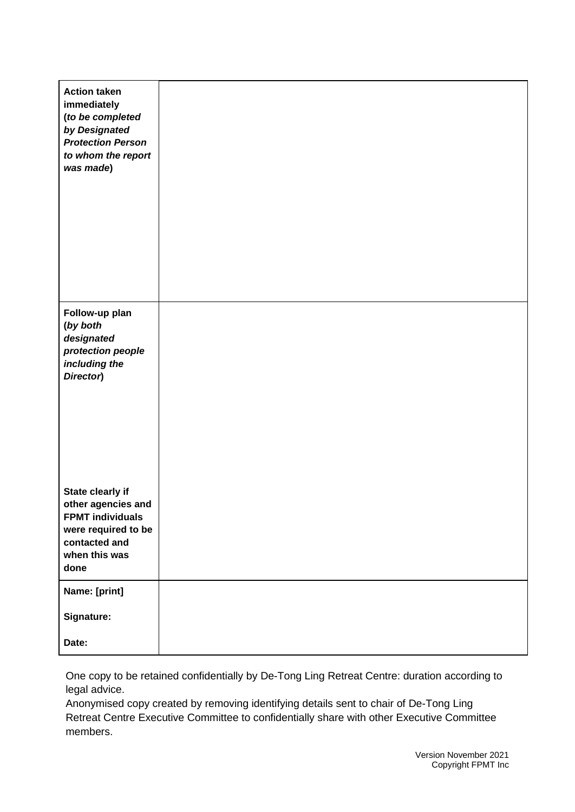| <b>Action taken</b><br>immediately<br>(to be completed<br>by Designated<br><b>Protection Person</b><br>to whom the report<br>was made) |  |
|----------------------------------------------------------------------------------------------------------------------------------------|--|
| Follow-up plan<br>(by both<br>designated<br>protection people<br>including the<br>Director)                                            |  |
| State clearly if<br>other agencies and<br><b>FPMT individuals</b><br>were required to be<br>contacted and<br>when this was<br>done     |  |
| Name: [print]<br>Signature:<br>Date:                                                                                                   |  |

One copy to be retained confidentially by De-Tong Ling Retreat Centre: duration according to legal advice.

Anonymised copy created by removing identifying details sent to chair of De-Tong Ling Retreat Centre Executive Committee to confidentially share with other Executive Committee members.